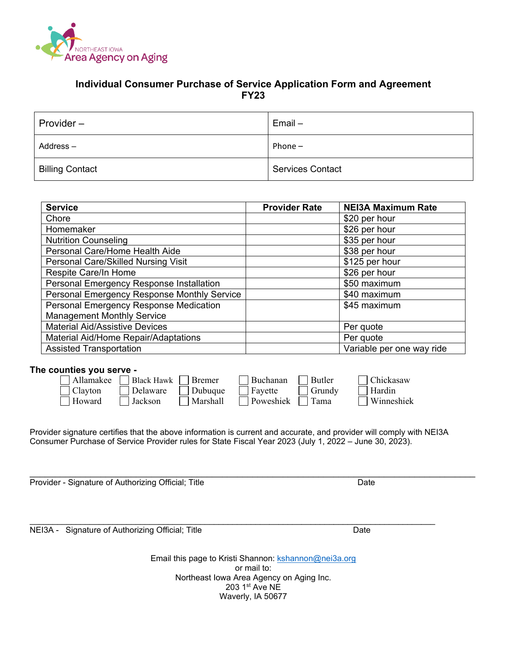

#### **Individual Consumer Purchase of Service Application Form and Agreement FY23**

| Provider-              | $Email -$               |
|------------------------|-------------------------|
| $Address -$            | Phone $-$               |
| <b>Billing Contact</b> | <b>Services Contact</b> |

| <b>Service</b>                              | <b>Provider Rate</b> | <b>NEI3A Maximum Rate</b> |
|---------------------------------------------|----------------------|---------------------------|
| Chore                                       |                      | \$20 per hour             |
| Homemaker                                   |                      | \$26 per hour             |
| <b>Nutrition Counseling</b>                 |                      | \$35 per hour             |
| Personal Care/Home Health Aide              |                      | \$38 per hour             |
| Personal Care/Skilled Nursing Visit         |                      | \$125 per hour            |
| Respite Care/In Home                        |                      | \$26 per hour             |
| Personal Emergency Response Installation    |                      | \$50 maximum              |
| Personal Emergency Response Monthly Service |                      | \$40 maximum              |
| Personal Emergency Response Medication      |                      | \$45 maximum              |
| <b>Management Monthly Service</b>           |                      |                           |
| <b>Material Aid/Assistive Devices</b>       |                      | Per quote                 |
| Material Aid/Home Repair/Adaptations        |                      | Per quote                 |
| <b>Assisted Transportation</b>              |                      | Variable per one way ride |

#### **The counties you serve -**

| $\Box$ Allamakee $\Box$ Black Hawk $\Box$ Bremer |                                |          | $\Box$ Buchanan $\Box$ Butler | Chickasaw         |
|--------------------------------------------------|--------------------------------|----------|-------------------------------|-------------------|
| $\Box$ Clayton                                   | $\Box$ Delaware $\Box$ Dubuque |          | Fayette Grundy                | Hardin            |
| Howard                                           | <b>Jackson</b>                 | Marshall | Poweshiek Tama                | <b>Winneshiek</b> |

Provider signature certifies that the above information is current and accurate, and provider will comply with NEI3A Consumer Purchase of Service Provider rules for State Fiscal Year 2023 (July 1, 2022 – June 30, 2023).

\_\_\_\_\_\_\_\_\_\_\_\_\_\_\_\_\_\_\_\_\_\_\_\_\_\_\_\_\_\_\_\_\_\_\_\_\_\_\_\_\_\_\_\_\_\_\_\_\_\_\_\_\_\_\_\_\_\_\_\_\_\_\_\_\_\_\_\_\_\_\_\_\_\_\_\_\_\_\_\_\_\_\_\_\_\_\_\_

 $\mathcal{L}_\mathcal{L} = \mathcal{L}_\mathcal{L} = \mathcal{L}_\mathcal{L} = \mathcal{L}_\mathcal{L} = \mathcal{L}_\mathcal{L} = \mathcal{L}_\mathcal{L} = \mathcal{L}_\mathcal{L} = \mathcal{L}_\mathcal{L} = \mathcal{L}_\mathcal{L} = \mathcal{L}_\mathcal{L} = \mathcal{L}_\mathcal{L} = \mathcal{L}_\mathcal{L} = \mathcal{L}_\mathcal{L} = \mathcal{L}_\mathcal{L} = \mathcal{L}_\mathcal{L} = \mathcal{L}_\mathcal{L} = \mathcal{L}_\mathcal{L}$ Provider - Signature of Authorizing Official; Title Date

NEI3A - Signature of Authorizing Official; Title Date Date

Email this page to Kristi Shannon: kshannon@nei3a.org or mail to: Northeast Iowa Area Agency on Aging Inc. 203 1<sup>st</sup> Ave NE Waverly, IA 50677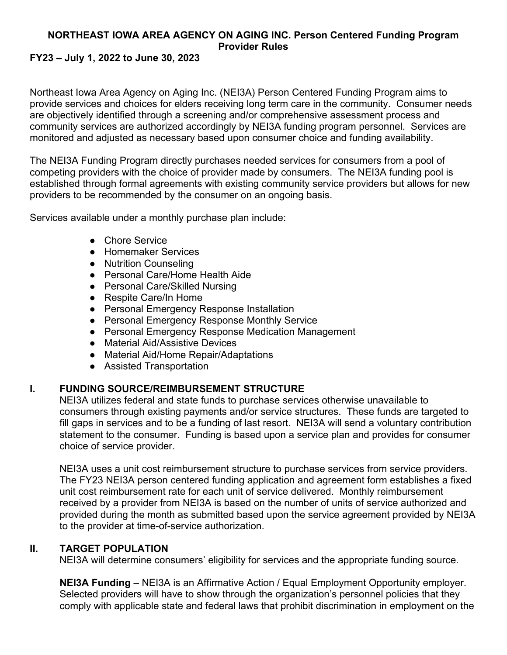# **NORTHEAST IOWA AREA AGENCY ON AGING INC. Person Centered Funding Program Provider Rules**

## **FY23 – July 1, 2022 to June 30, 2023**

Northeast Iowa Area Agency on Aging Inc. (NEI3A) Person Centered Funding Program aims to provide services and choices for elders receiving long term care in the community. Consumer needs are objectively identified through a screening and/or comprehensive assessment process and community services are authorized accordingly by NEI3A funding program personnel. Services are monitored and adjusted as necessary based upon consumer choice and funding availability.

The NEI3A Funding Program directly purchases needed services for consumers from a pool of competing providers with the choice of provider made by consumers. The NEI3A funding pool is established through formal agreements with existing community service providers but allows for new providers to be recommended by the consumer on an ongoing basis.

Services available under a monthly purchase plan include:

- Chore Service
- Homemaker Services
- Nutrition Counseling
- Personal Care/Home Health Aide
- Personal Care/Skilled Nursing
- Respite Care/In Home
- Personal Emergency Response Installation
- Personal Emergency Response Monthly Service
- Personal Emergency Response Medication Management
- Material Aid/Assistive Devices
- Material Aid/Home Repair/Adaptations
- Assisted Transportation

## **I. FUNDING SOURCE/REIMBURSEMENT STRUCTURE**

NEI3A utilizes federal and state funds to purchase services otherwise unavailable to consumers through existing payments and/or service structures. These funds are targeted to fill gaps in services and to be a funding of last resort. NEI3A will send a voluntary contribution statement to the consumer. Funding is based upon a service plan and provides for consumer choice of service provider.

NEI3A uses a unit cost reimbursement structure to purchase services from service providers. The FY23 NEI3A person centered funding application and agreement form establishes a fixed unit cost reimbursement rate for each unit of service delivered. Monthly reimbursement received by a provider from NEI3A is based on the number of units of service authorized and provided during the month as submitted based upon the service agreement provided by NEI3A to the provider at time-of-service authorization.

## **II. TARGET POPULATION**

NEI3A will determine consumers' eligibility for services and the appropriate funding source.

**NEI3A Funding** *–* NEI3A is an Affirmative Action / Equal Employment Opportunity employer. Selected providers will have to show through the organization's personnel policies that they comply with applicable state and federal laws that prohibit discrimination in employment on the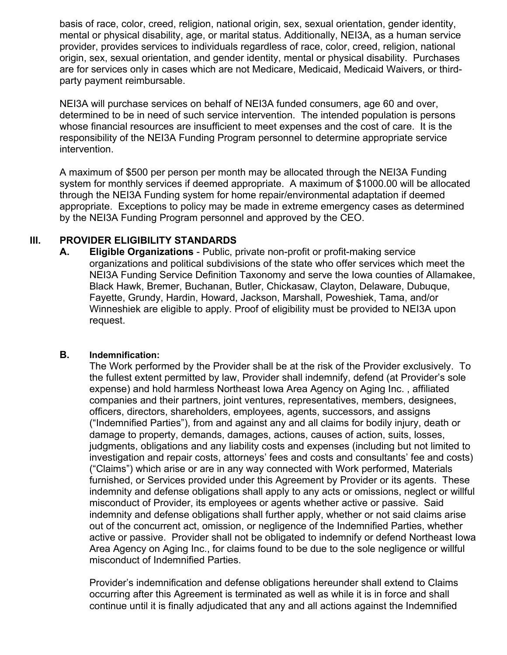basis of race, color, creed, religion, national origin, sex, sexual orientation, gender identity, mental or physical disability, age, or marital status. Additionally, NEI3A, as a human service provider, provides services to individuals regardless of race, color, creed, religion, national origin, sex, sexual orientation, and gender identity, mental or physical disability. Purchases are for services only in cases which are not Medicare, Medicaid, Medicaid Waivers, or thirdparty payment reimbursable.

NEI3A will purchase services on behalf of NEI3A funded consumers, age 60 and over, determined to be in need of such service intervention. The intended population is persons whose financial resources are insufficient to meet expenses and the cost of care. It is the responsibility of the NEI3A Funding Program personnel to determine appropriate service intervention.

A maximum of \$500 per person per month may be allocated through the NEI3A Funding system for monthly services if deemed appropriate. A maximum of \$1000.00 will be allocated through the NEI3A Funding system for home repair/environmental adaptation if deemed appropriate. Exceptions to policy may be made in extreme emergency cases as determined by the NEI3A Funding Program personnel and approved by the CEO.

## **III. PROVIDER ELIGIBILITY STANDARDS**

**A. Eligible Organizations** - Public, private non-profit or profit-making service organizations and political subdivisions of the state who offer services which meet the NEI3A Funding Service Definition Taxonomy and serve the Iowa counties of Allamakee, Black Hawk, Bremer, Buchanan, Butler, Chickasaw, Clayton, Delaware, Dubuque, Fayette, Grundy, Hardin, Howard, Jackson, Marshall, Poweshiek, Tama, and/or Winneshiek are eligible to apply. Proof of eligibility must be provided to NEI3A upon request.

#### **B. Indemnification:**

The Work performed by the Provider shall be at the risk of the Provider exclusively. To the fullest extent permitted by law, Provider shall indemnify, defend (at Provider's sole expense) and hold harmless Northeast Iowa Area Agency on Aging Inc. , affiliated companies and their partners, joint ventures, representatives, members, designees, officers, directors, shareholders, employees, agents, successors, and assigns ("Indemnified Parties"), from and against any and all claims for bodily injury, death or damage to property, demands, damages, actions, causes of action, suits, losses, judgments, obligations and any liability costs and expenses (including but not limited to investigation and repair costs, attorneys' fees and costs and consultants' fee and costs) ("Claims") which arise or are in any way connected with Work performed, Materials furnished, or Services provided under this Agreement by Provider or its agents. These indemnity and defense obligations shall apply to any acts or omissions, neglect or willful misconduct of Provider, its employees or agents whether active or passive. Said indemnity and defense obligations shall further apply, whether or not said claims arise out of the concurrent act, omission, or negligence of the Indemnified Parties, whether active or passive. Provider shall not be obligated to indemnify or defend Northeast Iowa Area Agency on Aging Inc., for claims found to be due to the sole negligence or willful misconduct of Indemnified Parties.

Provider's indemnification and defense obligations hereunder shall extend to Claims occurring after this Agreement is terminated as well as while it is in force and shall continue until it is finally adjudicated that any and all actions against the Indemnified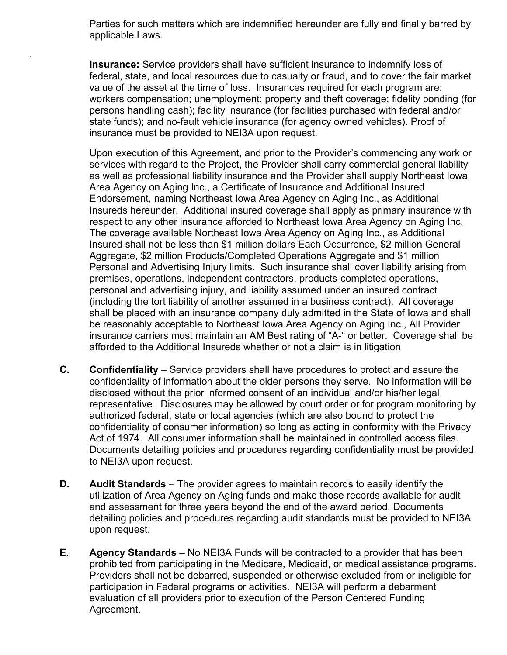Parties for such matters which are indemnified hereunder are fully and finally barred by applicable Laws.

.

**Insurance:** Service providers shall have sufficient insurance to indemnify loss of federal, state, and local resources due to casualty or fraud, and to cover the fair market value of the asset at the time of loss. Insurances required for each program are: workers compensation; unemployment; property and theft coverage; fidelity bonding (for persons handling cash); facility insurance (for facilities purchased with federal and/or state funds); and no-fault vehicle insurance (for agency owned vehicles). Proof of insurance must be provided to NEI3A upon request.

Upon execution of this Agreement, and prior to the Provider's commencing any work or services with regard to the Project, the Provider shall carry commercial general liability as well as professional liability insurance and the Provider shall supply Northeast Iowa Area Agency on Aging Inc., a Certificate of Insurance and Additional Insured Endorsement, naming Northeast Iowa Area Agency on Aging Inc., as Additional Insureds hereunder. Additional insured coverage shall apply as primary insurance with respect to any other insurance afforded to Northeast Iowa Area Agency on Aging Inc. The coverage available Northeast Iowa Area Agency on Aging Inc., as Additional Insured shall not be less than \$1 million dollars Each Occurrence, \$2 million General Aggregate, \$2 million Products/Completed Operations Aggregate and \$1 million Personal and Advertising Injury limits. Such insurance shall cover liability arising from premises, operations, independent contractors, products-completed operations, personal and advertising injury, and liability assumed under an insured contract (including the tort liability of another assumed in a business contract). All coverage shall be placed with an insurance company duly admitted in the State of Iowa and shall be reasonably acceptable to Northeast Iowa Area Agency on Aging Inc., All Provider insurance carriers must maintain an AM Best rating of "A-" or better. Coverage shall be afforded to the Additional Insureds whether or not a claim is in litigation

- **C. Confidentiality** Service providers shall have procedures to protect and assure the confidentiality of information about the older persons they serve. No information will be disclosed without the prior informed consent of an individual and/or his/her legal representative. Disclosures may be allowed by court order or for program monitoring by authorized federal, state or local agencies (which are also bound to protect the confidentiality of consumer information) so long as acting in conformity with the Privacy Act of 1974. All consumer information shall be maintained in controlled access files. Documents detailing policies and procedures regarding confidentiality must be provided to NEI3A upon request.
- **D.** Audit Standards The provider agrees to maintain records to easily identify the utilization of Area Agency on Aging funds and make those records available for audit and assessment for three years beyond the end of the award period. Documents detailing policies and procedures regarding audit standards must be provided to NEI3A upon request.
- **E. Agency Standards**  No NEI3A Funds will be contracted to a provider that has been prohibited from participating in the Medicare, Medicaid, or medical assistance programs. Providers shall not be debarred, suspended or otherwise excluded from or ineligible for participation in Federal programs or activities. NEI3A will perform a debarment evaluation of all providers prior to execution of the Person Centered Funding Agreement.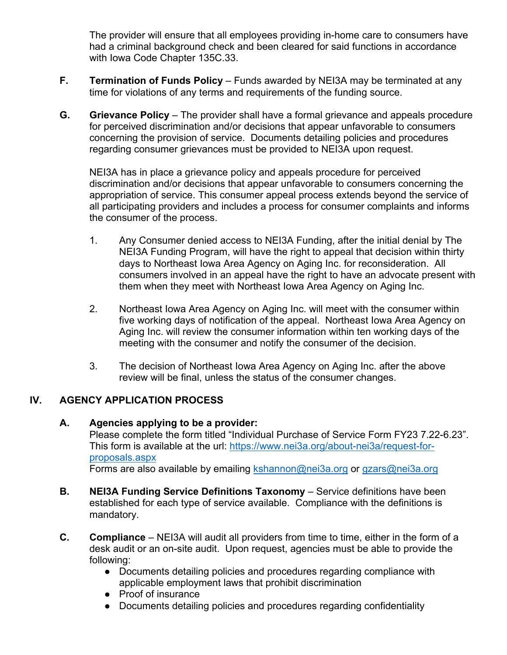The provider will ensure that all employees providing in-home care to consumers have had a criminal background check and been cleared for said functions in accordance with Iowa Code Chapter 135C.33.

- **F. Termination of Funds Policy** Funds awarded by NEI3A may be terminated at any time for violations of any terms and requirements of the funding source.
- **G. Grievance Policy** The provider shall have a formal grievance and appeals procedure for perceived discrimination and/or decisions that appear unfavorable to consumers concerning the provision of service. Documents detailing policies and procedures regarding consumer grievances must be provided to NEI3A upon request.

NEI3A has in place a grievance policy and appeals procedure for perceived discrimination and/or decisions that appear unfavorable to consumers concerning the appropriation of service. This consumer appeal process extends beyond the service of all participating providers and includes a process for consumer complaints and informs the consumer of the process.

- 1. Any Consumer denied access to NEI3A Funding, after the initial denial by The NEI3A Funding Program, will have the right to appeal that decision within thirty days to Northeast Iowa Area Agency on Aging Inc. for reconsideration. All consumers involved in an appeal have the right to have an advocate present with them when they meet with Northeast Iowa Area Agency on Aging Inc.
- 2. Northeast Iowa Area Agency on Aging Inc. will meet with the consumer within five working days of notification of the appeal. Northeast Iowa Area Agency on Aging Inc. will review the consumer information within ten working days of the meeting with the consumer and notify the consumer of the decision.
- 3. The decision of Northeast Iowa Area Agency on Aging Inc. after the above review will be final, unless the status of the consumer changes.

## **IV. AGENCY APPLICATION PROCESS**

**A. Agencies applying to be a provider:** 

Please complete the form titled "Individual Purchase of Service Form FY23 7.22-6.23". This form is available at the url: https://www.nei3a.org/about-nei3a/request-forproposals.aspx Forms are also available by emailing kshannon@nei3a.org or gzars@nei3a.org

- **B. NEI3A Funding Service Definitions Taxonomy** Service definitions have been
- established for each type of service available. Compliance with the definitions is mandatory.
- **C. Compliance** NEI3A will audit all providers from time to time, either in the form of a desk audit or an on-site audit. Upon request, agencies must be able to provide the following:
	- Documents detailing policies and procedures regarding compliance with applicable employment laws that prohibit discrimination
	- Proof of insurance
	- Documents detailing policies and procedures regarding confidentiality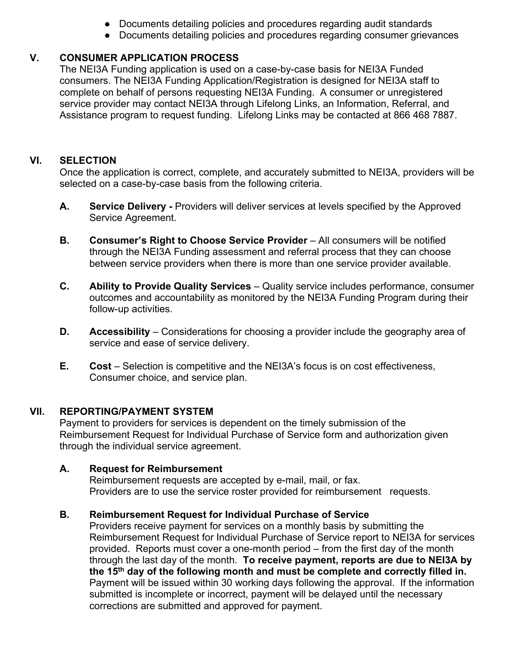- Documents detailing policies and procedures regarding audit standards
- Documents detailing policies and procedures regarding consumer grievances

# **V. CONSUMER APPLICATION PROCESS**

The NEI3A Funding application is used on a case-by-case basis for NEI3A Funded consumers. The NEI3A Funding Application/Registration is designed for NEI3A staff to complete on behalf of persons requesting NEI3A Funding. A consumer or unregistered service provider may contact NEI3A through Lifelong Links, an Information, Referral, and Assistance program to request funding. Lifelong Links may be contacted at 866 468 7887.

## **VI. SELECTION**

Once the application is correct, complete, and accurately submitted to NEI3A, providers will be selected on a case-by-case basis from the following criteria.

- A. **Service Delivery -** Providers will deliver services at levels specified by the Approved Service Agreement.
- **B. Consumer's Right to Choose Service Provider** All consumers will be notified through the NEI3A Funding assessment and referral process that they can choose between service providers when there is more than one service provider available.
- **C. Ability to Provide Quality Services** Quality service includes performance, consumer outcomes and accountability as monitored by the NEI3A Funding Program during their follow-up activities.
- **D. Accessibility** Considerations for choosing a provider include the geography area of service and ease of service delivery.
- **E. Cost** Selection is competitive and the NEI3A's focus is on cost effectiveness, Consumer choice, and service plan.

# **VII. REPORTING/PAYMENT SYSTEM**

Payment to providers for services is dependent on the timely submission of the Reimbursement Request for Individual Purchase of Service form and authorization given through the individual service agreement.

## **A. Request for Reimbursement**

Reimbursement requests are accepted by e-mail, mail, or fax. Providers are to use the service roster provided for reimbursement requests.

# **B. Reimbursement Request for Individual Purchase of Service**

Providers receive payment for services on a monthly basis by submitting the Reimbursement Request for Individual Purchase of Service report to NEI3A for services provided. Reports must cover a one-month period – from the first day of the month through the last day of the month. **To receive payment, reports are due to NEI3A by the 15th day of the following month and must be complete and correctly filled in.** Payment will be issued within 30 working days following the approval. If the information submitted is incomplete or incorrect, payment will be delayed until the necessary corrections are submitted and approved for payment.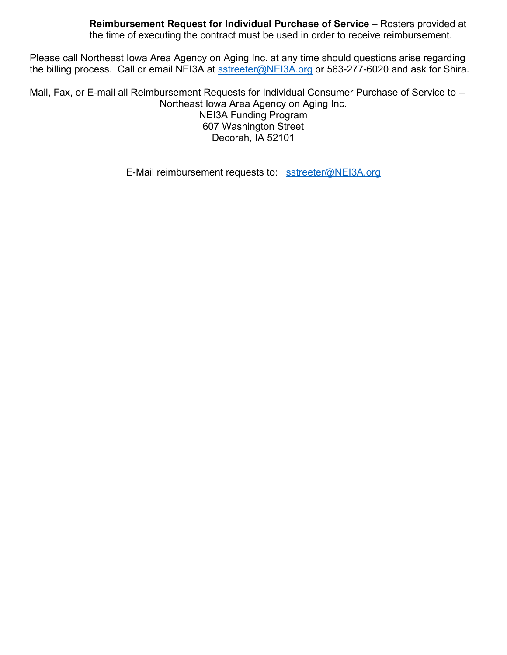**Reimbursement Request for Individual Purchase of Service** – Rosters provided at the time of executing the contract must be used in order to receive reimbursement.

Please call Northeast Iowa Area Agency on Aging Inc. at any time should questions arise regarding the billing process. Call or email NEI3A at sstreeter@NEI3A.org or 563-277-6020 and ask for Shira.

Mail, Fax, or E-mail all Reimbursement Requests for Individual Consumer Purchase of Service to -- Northeast Iowa Area Agency on Aging Inc. NEI3A Funding Program 607 Washington Street Decorah, IA 52101

E-Mail reimbursement requests to: sstreeter@NEI3A.org